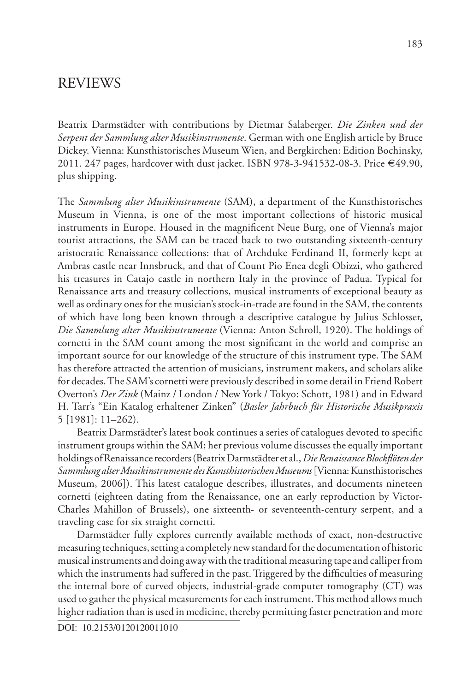Beatrix Darmstädter with contributions by Dietmar Salaberger. *Die Zinken und der Serpent der Sammlung alter Musikinstrumente*. German with one English article by Bruce Dickey. Vienna: Kunsthistorisches Museum Wien, and Bergkirchen: Edition Bochinsky, 2011. 247 pages, hardcover with dust jacket. ISBN 978-3-941532-08-3. Price €49.90, plus shipping.

The *Sammlung alter Musikinstrumente* (SAM), a department of the Kunsthistorisches Museum in Vienna, is one of the most important collections of historic musical instruments in Europe. Housed in the magnificent Neue Burg, one of Vienna's major tourist attractions, the SAM can be traced back to two outstanding sixteenth-century aristocratic Renaissance collections: that of Archduke Ferdinand II, formerly kept at Ambras castle near Innsbruck, and that of Count Pio Enea degli Obizzi, who gathered his treasures in Catajo castle in northern Italy in the province of Padua. Typical for Renaissance arts and treasury collections, musical instruments of exceptional beauty as well as ordinary ones for the musician's stock-in-trade are found in the SAM, the contents of which have long been known through a descriptive catalogue by Julius Schlosser, *Die Sammlung alter Musikinstrumente* (Vienna: Anton Schroll, 1920). The holdings of cornetti in the SAM count among the most significant in the world and comprise an important source for our knowledge of the structure of this instrument type. The SAM has therefore attracted the attention of musicians, instrument makers, and scholars alike for decades. The SAM's cornetti were previously described in some detail in Friend Robert Overton's *Der Zink* (Mainz / London / New York / Tokyo: Schott, 1981) and in Edward H. Tarr's "Ein Katalog erhaltener Zinken" (*Basler Jahrbuch für Historische Musikpraxis*  5 [1981]: 11–262).

Beatrix Darmstädter's latest book continues a series of catalogues devoted to specific instrument groups within the SAM; her previous volume discusses the equally important holdings of Renaissance recorders (Beatrix Darmstädter et al., *Die Renaissance Blockflöten der Sammlung alter Musikinstrumente des Kunsthistorischen Museums* [Vienna: Kunsthistorisches Museum, 2006]). This latest catalogue describes, illustrates, and documents nineteen cornetti (eighteen dating from the Renaissance, one an early reproduction by Victor-Charles Mahillon of Brussels), one sixteenth- or seventeenth-century serpent, and a traveling case for six straight cornetti.

Darmstädter fully explores currently available methods of exact, non-destructive measuring techniques, setting a completely new standard for the documentation of historic musical instruments and doing away with the traditional measuring tape and calliper from which the instruments had suffered in the past. Triggered by the difficulties of measuring the internal bore of curved objects, industrial-grade computer tomography (CT) was used to gather the physical measurements for each instrument. This method allows much higher radiation than is used in medicine, thereby permitting faster penetration and more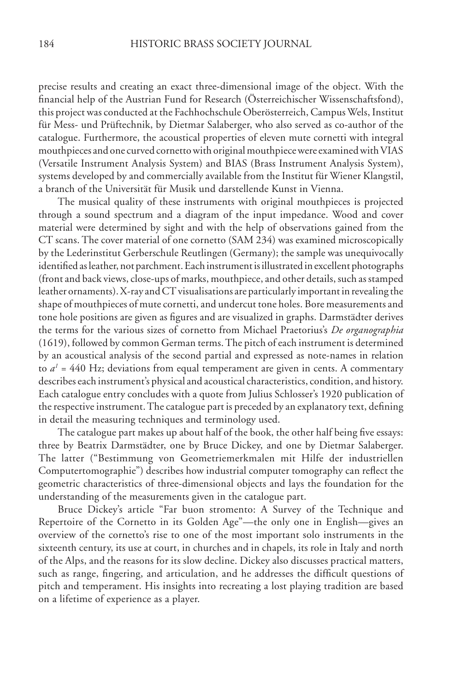precise results and creating an exact three-dimensional image of the object. With the financial help of the Austrian Fund for Research (Österreichischer Wissenschaftsfond), this project was conducted at the Fachhochschule Oberösterreich, Campus Wels, Institut für Mess- und Prüftechnik, by Dietmar Salaberger, who also served as co-author of the catalogue. Furthermore, the acoustical properties of eleven mute cornetti with integral mouthpieces and one curved cornetto with original mouthpiece were examined with VIAS (Versatile Instrument Analysis System) and BIAS (Brass Instrument Analysis System), systems developed by and commercially available from the Institut für Wiener Klangstil, a branch of the Universität für Musik und darstellende Kunst in Vienna.

The musical quality of these instruments with original mouthpieces is projected through a sound spectrum and a diagram of the input impedance. Wood and cover material were determined by sight and with the help of observations gained from the CT scans. The cover material of one cornetto (SAM 234) was examined microscopically by the Lederinstitut Gerberschule Reutlingen (Germany); the sample was unequivocally identified as leather, not parchment. Each instrument is illustrated in excellent photographs (front and back views, close-ups of marks, mouthpiece, and other details, such as stamped leather ornaments). X-ray and CT visualisations are particularly important in revealing the shape of mouthpieces of mute cornetti, and undercut tone holes. Bore measurements and tone hole positions are given as figures and are visualized in graphs. Darmstädter derives the terms for the various sizes of cornetto from Michael Praetorius's *De organographia* (1619), followed by common German terms. The pitch of each instrument is determined by an acoustical analysis of the second partial and expressed as note-names in relation to  $a<sup>i</sup> = 440$  Hz; deviations from equal temperament are given in cents. A commentary describes each instrument's physical and acoustical characteristics, condition, and history. Each catalogue entry concludes with a quote from Julius Schlosser's 1920 publication of the respective instrument. The catalogue part is preceded by an explanatory text, defining in detail the measuring techniques and terminology used.

The catalogue part makes up about half of the book, the other half being five essays: three by Beatrix Darmstädter, one by Bruce Dickey, and one by Dietmar Salaberger. The latter ("Bestimmung von Geometriemerkmalen mit Hilfe der industriellen Computertomographie") describes how industrial computer tomography can reflect the geometric characteristics of three-dimensional objects and lays the foundation for the understanding of the measurements given in the catalogue part.

Bruce Dickey's article "Far buon stromento: A Survey of the Technique and Repertoire of the Cornetto in its Golden Age"—the only one in English—gives an overview of the cornetto's rise to one of the most important solo instruments in the sixteenth century, its use at court, in churches and in chapels, its role in Italy and north of the Alps, and the reasons for its slow decline. Dickey also discusses practical matters, such as range, fingering, and articulation, and he addresses the difficult questions of pitch and temperament. His insights into recreating a lost playing tradition are based on a lifetime of experience as a player.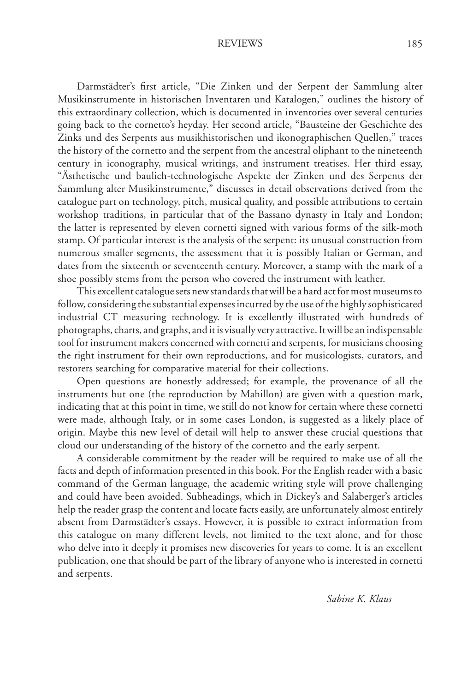Darmstädter's first article, "Die Zinken und der Serpent der Sammlung alter Musikinstrumente in historischen Inventaren und Katalogen," outlines the history of this extraordinary collection, which is documented in inventories over several centuries going back to the cornetto's heyday. Her second article, "Bausteine der Geschichte des Zinks und des Serpents aus musikhistorischen und ikonographischen Quellen," traces the history of the cornetto and the serpent from the ancestral oliphant to the nineteenth century in iconography, musical writings, and instrument treatises. Her third essay, "Ästhetische und baulich-technologische Aspekte der Zinken und des Serpents der Sammlung alter Musikinstrumente," discusses in detail observations derived from the catalogue part on technology, pitch, musical quality, and possible attributions to certain workshop traditions, in particular that of the Bassano dynasty in Italy and London; the latter is represented by eleven cornetti signed with various forms of the silk-moth stamp. Of particular interest is the analysis of the serpent: its unusual construction from numerous smaller segments, the assessment that it is possibly Italian or German, and dates from the sixteenth or seventeenth century. Moreover, a stamp with the mark of a shoe possibly stems from the person who covered the instrument with leather.

This excellent catalogue sets new standards that will be a hard act for most museums to follow, considering the substantial expenses incurred by the use of the highly sophisticated industrial CT measuring technology. It is excellently illustrated with hundreds of photographs, charts, and graphs, and it is visually very attractive. It will be an indispensable tool for instrument makers concerned with cornetti and serpents, for musicians choosing the right instrument for their own reproductions, and for musicologists, curators, and restorers searching for comparative material for their collections.

Open questions are honestly addressed; for example, the provenance of all the instruments but one (the reproduction by Mahillon) are given with a question mark, indicating that at this point in time, we still do not know for certain where these cornetti were made, although Italy, or in some cases London, is suggested as a likely place of origin. Maybe this new level of detail will help to answer these crucial questions that cloud our understanding of the history of the cornetto and the early serpent.

A considerable commitment by the reader will be required to make use of all the facts and depth of information presented in this book. For the English reader with a basic command of the German language, the academic writing style will prove challenging and could have been avoided. Subheadings, which in Dickey's and Salaberger's articles help the reader grasp the content and locate facts easily, are unfortunately almost entirely absent from Darmstädter's essays. However, it is possible to extract information from this catalogue on many different levels, not limited to the text alone, and for those who delve into it deeply it promises new discoveries for years to come. It is an excellent publication, one that should be part of the library of anyone who is interested in cornetti and serpents.

*Sabine K. Klaus*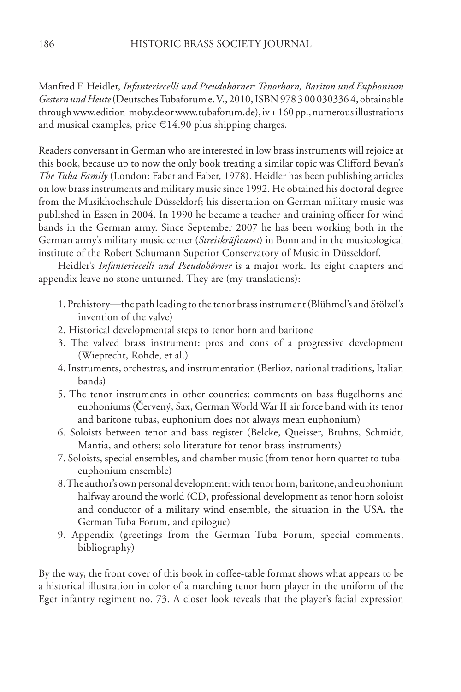Manfred F. Heidler, *Infanteriecelli und Pseudohörner: Tenorhorn, Bariton und Euphonium Gestern und Heute* (Deutsches Tubaforum e. V., 2010, ISBN 978 3 00 030336 4, obtainable through www.edition-moby.de or www.tubaforum.de), iv + 160 pp., numerous illustrations and musical examples, price  $\in$ 14.90 plus shipping charges.

Readers conversant in German who are interested in low brass instruments will rejoice at this book, because up to now the only book treating a similar topic was Clifford Bevan's *The Tuba Family* (London: Faber and Faber, 1978). Heidler has been publishing articles on low brass instruments and military music since 1992. He obtained his doctoral degree from the Musikhochschule Düsseldorf; his dissertation on German military music was published in Essen in 2004. In 1990 he became a teacher and training officer for wind bands in the German army. Since September 2007 he has been working both in the German army's military music center (*Streitkräfteamt*) in Bonn and in the musicological institute of the Robert Schumann Superior Conservatory of Music in Düsseldorf.

Heidler's *Infanteriecelli und Pseudohörner* is a major work. Its eight chapters and appendix leave no stone unturned. They are (my translations):

- 1. Prehistory—the path leading to the tenor brass instrument (Blühmel's and Stölzel's invention of the valve)
- 2. Historical developmental steps to tenor horn and baritone
- 3. The valved brass instrument: pros and cons of a progressive development (Wieprecht, Rohde, et al.)
- 4. Instruments, orchestras, and instrumentation (Berlioz, national traditions, Italian bands)
- 5. The tenor instruments in other countries: comments on bass flugelhorns and euphoniums (Červený, Sax, German World War II air force band with its tenor and baritone tubas, euphonium does not always mean euphonium)
- 6. Soloists between tenor and bass register (Belcke, Queisser, Bruhns, Schmidt, Mantia, and others; solo literature for tenor brass instruments)
- 7. Soloists, special ensembles, and chamber music (from tenor horn quartet to tubaeuphonium ensemble)
- 8. The author's own personal development: with tenor horn, baritone, and euphonium halfway around the world (CD, professional development as tenor horn soloist and conductor of a military wind ensemble, the situation in the USA, the German Tuba Forum, and epilogue)
- 9. Appendix (greetings from the German Tuba Forum, special comments, bibliography)

By the way, the front cover of this book in coffee-table format shows what appears to be a historical illustration in color of a marching tenor horn player in the uniform of the Eger infantry regiment no. 73. A closer look reveals that the player's facial expression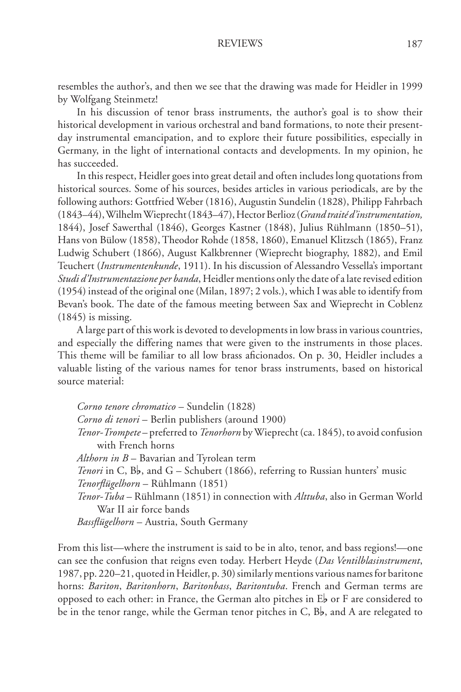resembles the author's, and then we see that the drawing was made for Heidler in 1999 by Wolfgang Steinmetz!

In his discussion of tenor brass instruments, the author's goal is to show their historical development in various orchestral and band formations, to note their presentday instrumental emancipation, and to explore their future possibilities, especially in Germany, in the light of international contacts and developments. In my opinion, he has succeeded.

In this respect, Heidler goes into great detail and often includes long quotations from historical sources. Some of his sources, besides articles in various periodicals, are by the following authors: Gottfried Weber (1816), Augustin Sundelin (1828), Philipp Fahrbach (1843–44), Wilhelm Wieprecht (1843–47), Hector Berlioz (*Grand traité d'instrumentation,* 1844), Josef Sawerthal (1846), Georges Kastner (1848), Julius Rühlmann (1850–51), Hans von Bülow (1858), Theodor Rohde (1858, 1860), Emanuel Klitzsch (1865), Franz Ludwig Schubert (1866), August Kalkbrenner (Wieprecht biography, 1882), and Emil Teuchert (*Instrumentenkunde*, 1911). In his discussion of Alessandro Vessella's important *Studi d'Instrumentazione per banda*, Heidler mentions only the date of a late revised edition (1954) instead of the original one (Milan, 1897; 2 vols.), which I was able to identify from Bevan's book. The date of the famous meeting between Sax and Wieprecht in Coblenz (1845) is missing.

A large part of this work is devoted to developments in low brass in various countries, and especially the differing names that were given to the instruments in those places. This theme will be familiar to all low brass aficionados. On p. 30, Heidler includes a valuable listing of the various names for tenor brass instruments, based on historical source material:

*Corno tenore chromatico* – Sundelin (1828) *Corno di tenori* – Berlin publishers (around 1900) *Tenor-Trompete* – preferred to *Tenorhorn* by Wieprecht (ca. 1845), to avoid confusion with French horns *Althorn in B* – Bavarian and Tyrolean term *Tenori* in C, B<sub>b</sub>, and G – Schubert (1866), referring to Russian hunters' music *Tenorflügelhorn* – Rühlmann (1851) *Tenor-Tuba* – Rühlmann (1851) in connection with *Alttuba*, also in German World War II air force bands *Bassflügelhorn* – Austria, South Germany

From this list—where the instrument is said to be in alto, tenor, and bass regions!—one can see the confusion that reigns even today. Herbert Heyde (*Das Ventilblasinstrument*, 1987, pp. 220–21, quoted in Heidler, p. 30) similarly mentions various names for baritone horns: *Bariton*, *Baritonhorn*, *Baritonbass*, *Baritontuba*. French and German terms are opposed to each other: in France, the German alto pitches in  $E_{\mathbf{z}}$  or F are considered to be in the tenor range, while the German tenor pitches in C,  $B_b$ , and A are relegated to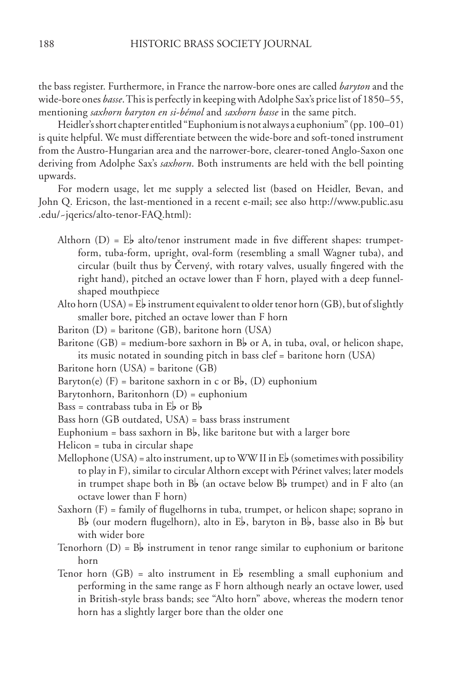the bass register. Furthermore, in France the narrow-bore ones are called *baryton* and the wide-bore ones *basse*. This is perfectly in keeping with Adolphe Sax's price list of 1850–55, mentioning *saxhorn baryton en si-bémol* and *saxhorn basse* in the same pitch.

Heidler's short chapter entitled "Euphonium is not always a euphonium" (pp. 100–01) is quite helpful. We must differentiate between the wide-bore and soft-toned instrument from the Austro-Hungarian area and the narrower-bore, clearer-toned Anglo-Saxon one deriving from Adolphe Sax's *saxhorn*. Both instruments are held with the bell pointing upwards.

For modern usage, let me supply a selected list (based on Heidler, Bevan, and John Q. Ericson, the last-mentioned in a recent e-mail; see also http://www.public.asu .edu/~jqerics/alto-tenor-FAQ.html):

- Althorn (D) =  $E_b$  alto/tenor instrument made in five different shapes: trumpetform, tuba-form, upright, oval-form (resembling a small Wagner tuba), and circular (built thus by Červený, with rotary valves, usually fingered with the right hand), pitched an octave lower than F horn, played with a deep funnelshaped mouthpiece
- Alto horn (USA) =  $E_b$  instrument equivalent to older tenor horn (GB), but of slightly smaller bore, pitched an octave lower than F horn
- Bariton (D) = baritone (GB), baritone horn (USA)
- Baritone (GB) = medium-bore saxhorn in  $B_b$  or A, in tuba, oval, or helicon shape, its music notated in sounding pitch in bass clef = baritone horn (USA)

Baritone horn (USA) = baritone (GB)

Baryton(e) (F) = baritone saxhorn in c or  $B_{\mathbf{b}}$ , (D) euphonium

Barytonhorn, Baritonhorn (D) = euphonium

Bass = contrabass tuba in  $E_{\bm{b}}$  or  $B_{\bm{b}}$ 

Bass horn (GB outdated, USA) = bass brass instrument

Euphonium = bass saxhorn in  $B_b$ , like baritone but with a larger bore

Helicon = tuba in circular shape

- Mellophone (USA) = alto instrument, up to WW II in  $E_b$  (sometimes with possibility to play in F), similar to circular Althorn except with Périnet valves; later models in trumpet shape both in B<sub>b</sub> (an octave below B<sub>b</sub> trumpet) and in F alto (an octave lower than F horn)
- Saxhorn (F) = family of flugelhorns in tuba, trumpet, or helicon shape; soprano in  $B<sub>b</sub>$  (our modern flugelhorn), alto in  $E<sub>b</sub>$ , baryton in  $B<sub>b</sub>$ , basse also in  $B<sub>b</sub>$  but with wider bore
- Tenorhorn  $(D) = B_b$  instrument in tenor range similar to euphonium or baritone horn
- Tenor horn  $(GB)$  = alto instrument in E<sub>p</sub> resembling a small euphonium and performing in the same range as F horn although nearly an octave lower, used in British-style brass bands; see "Alto horn" above, whereas the modern tenor horn has a slightly larger bore than the older one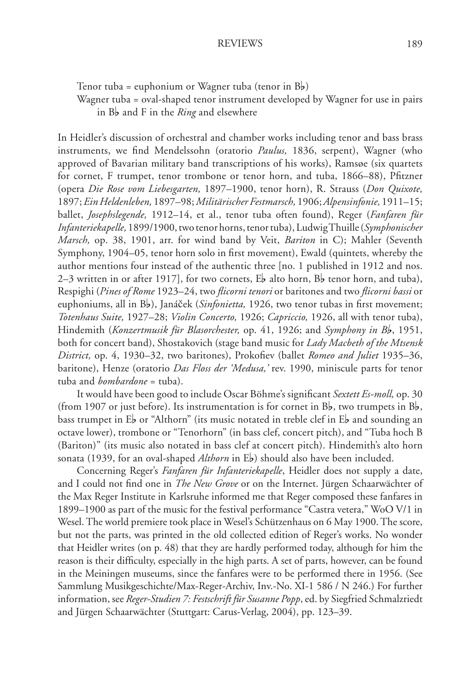Tenor tuba = euphonium or Wagner tuba (tenor in  $B_b$ )

Wagner tuba = oval-shaped tenor instrument developed by Wagner for use in pairs in B<sub>p</sub> and F in the *Ring* and elsewhere

In Heidler's discussion of orchestral and chamber works including tenor and bass brass instruments, we find Mendelssohn (oratorio *Paulus,* 1836, serpent), Wagner (who approved of Bavarian military band transcriptions of his works), Ramsøe (six quartets for cornet, F trumpet, tenor trombone or tenor horn, and tuba, 1866–88), Pfitzner (opera *Die Rose vom Liebesgarten,* 1897–1900, tenor horn), R. Strauss (*Don Quixote,* 1897; *Ein Heldenleben,* 1897–98; *Militärischer Festmarsch,* 1906; *Alpensinfonie,* 1911–15; ballet, *Josephslegende,* 1912–14, et al., tenor tuba often found), Reger (*Fanfaren für Infanteriekapelle,* 1899/1900, two tenor horns, tenor tuba), Ludwig Thuille (*Symphonischer Marsch,* op. 38, 1901, arr. for wind band by Veit, *Bariton* in C); Mahler (Seventh Symphony, 1904–05, tenor horn solo in first movement), Ewald (quintets, whereby the author mentions four instead of the authentic three [no. 1 published in 1912 and nos. 2–3 written in or after 1917], for two cornets,  $E_{\rm b}$  alto horn,  $B_{\rm b}$  tenor horn, and tuba), Respighi (*Pines of Rome* 1923–24, two *flicorni tenori* or baritones and two *flicorni bassi* or euphoniums, all in B<sub>b</sub>), Janáček (*Sinfonietta*, 1926, two tenor tubas in first movement; *Totenhaus Suite,* 1927–28; *Violin Concerto,* 1926; *Capriccio,* 1926, all with tenor tuba), Hindemith (*Konzertmusik für Blasorchester*, op. 41, 1926; and *Symphony in Bb*, 1951, both for concert band), Shostakovich (stage band music for *Lady Macbeth of the Mtsensk District,* op. 4, 1930–32, two baritones), Prokofiev (ballet *Romeo and Juliet* 1935–36, baritone), Henze (oratorio *Das Floss der 'Medusa,'* rev. 1990, miniscule parts for tenor tuba and *bombardone* = tuba).

It would have been good to include Oscar Böhme's significant *Sextett Es-moll,* op. 30 (from 1907 or just before). Its instrumentation is for cornet in  $B_{\nu}$ , two trumpets in  $B_{\nu}$ , bass trumpet in  $E_b$  or "Althorn" (its music notated in treble clef in  $E_b$  and sounding an octave lower), trombone or "Tenorhorn" (in bass clef, concert pitch), and "Tuba hoch B (Bariton)" (its music also notated in bass clef at concert pitch). Hindemith's alto horn sonata (1939, for an oval-shaped *Althorn* in E<sub>b</sub>) should also have been included.

Concerning Reger's *Fanfaren für Infanteriekapelle*, Heidler does not supply a date, and I could not find one in *The New Grove* or on the Internet. Jürgen Schaarwächter of the Max Reger Institute in Karlsruhe informed me that Reger composed these fanfares in 1899–1900 as part of the music for the festival performance "Castra vetera," WoO V/1 in Wesel. The world premiere took place in Wesel's Schützenhaus on 6 May 1900. The score, but not the parts, was printed in the old collected edition of Reger's works. No wonder that Heidler writes (on p. 48) that they are hardly performed today, although for him the reason is their difficulty, especially in the high parts. A set of parts, however, can be found in the Meiningen museums, since the fanfares were to be performed there in 1956. (See Sammlung Musikgeschichte/Max-Reger-Archiv, Inv.-No. XI-1 586 / N 246.) For further information, see *Reger-Studien 7: Festschrift für Susanne Popp*, ed. by Siegfried Schmalzriedt and Jürgen Schaarwächter (Stuttgart: Carus-Verlag, 2004), pp. 123–39.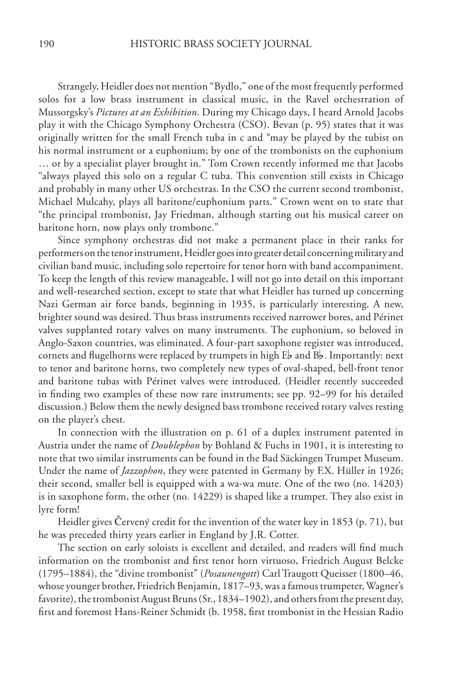Strangely, Heidler does not mention "Bydlo," one of the most frequently performed solos for a low brass instrument in classical music, in the Ravel orchestration of Mussorgsky's *Pictures at an Exhibition*. During my Chicago days, I heard Arnold Jacobs play it with the Chicago Symphony Orchestra (CSO). Bevan (p. 95) states that it was originally written for the small French tuba in c and "may be played by the tubist on his normal instrument or a euphonium; by one of the trombonists on the euphonium … or by a specialist player brought in." Tom Crown recently informed me that Jacobs "always played this solo on a regular C tuba. This convention still exists in Chicago and probably in many other US orchestras. In the CSO the current second trombonist, Michael Mulcahy, plays all baritone/euphonium parts." Crown went on to state that "the principal trombonist, Jay Friedman, although starting out his musical career on baritone horn, now plays only trombone."

Since symphony orchestras did not make a permanent place in their ranks for performers on the tenor instrument, Heidler goes into greater detail concerning military and civilian band music, including solo repertoire for tenor horn with band accompaniment. To keep the length of this review manageable, I will not go into detail on this important and well-researched section, except to state that what Heidler has turned up concerning Nazi German air force bands, beginning in 1935, is particularly interesting. A new, brighter sound was desired. Thus brass instruments received narrower bores, and Périnet valves supplanted rotary valves on many instruments. The euphonium, so beloved in Anglo-Saxon countries, was eliminated. A four-part saxophone register was introduced, cornets and flugelhorns were replaced by trumpets in high  $E_b$  and  $B_b$ . Importantly: next to tenor and baritone horns, two completely new types of oval-shaped, bell-front tenor and baritone tubas with Périnet valves were introduced. (Heidler recently succeeded in finding two examples of these now rare instruments; see pp. 92–99 for his detailed discussion.) Below them the newly designed bass trombone received rotary valves resting on the player's chest.

In connection with the illustration on p. 61 of a duplex instrument patented in Austria under the name of *Doublephon* by Bohland & Fuchs in 1901, it is interesting to note that two similar instruments can be found in the Bad Säckingen Trumpet Museum. Under the name of *Jazzophon*, they were patented in Germany by F.X. Hüller in 1926; their second, smaller bell is equipped with a wa-wa mute. One of the two (no. 14203) is in saxophone form, the other (no. 14229) is shaped like a trumpet. They also exist in lyre form!

Heidler gives Červený credit for the invention of the water key in 1853 (p. 71), but he was preceded thirty years earlier in England by J.R. Cotter.

The section on early soloists is excellent and detailed, and readers will find much information on the trombonist and first tenor horn virtuoso, Friedrich August Belcke (1795–1884), the "divine trombonist" (*Posaunengott*) Carl Traugott Queisser (1800–46, whose younger brother, Friedrich Benjamin, 1817–93, was a famous trumpeter, Wagner's favorite), the trombonist August Bruns (Sr., 1834–1902), and others from the present day, first and foremost Hans-Reiner Schmidt (b. 1958, first trombonist in the Hessian Radio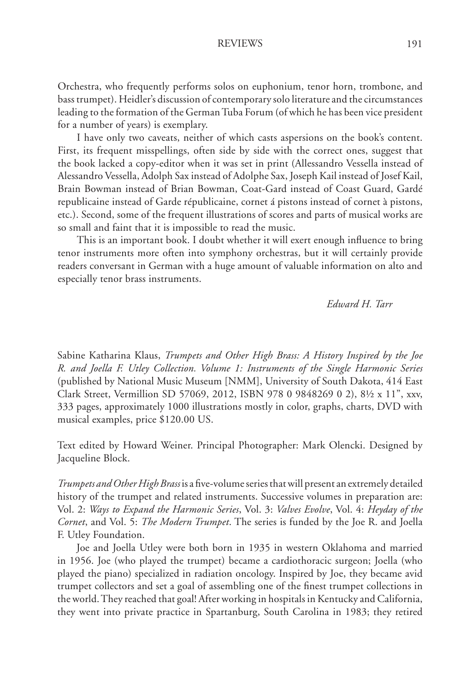Orchestra, who frequently performs solos on euphonium, tenor horn, trombone, and bass trumpet). Heidler's discussion of contemporary solo literature and the circumstances leading to the formation of the German Tuba Forum (of which he has been vice president for a number of years) is exemplary.

I have only two caveats, neither of which casts aspersions on the book's content. First, its frequent misspellings, often side by side with the correct ones, suggest that the book lacked a copy-editor when it was set in print (Allessandro Vessella instead of Alessandro Vessella, Adolph Sax instead of Adolphe Sax, Joseph Kail instead of Josef Kail, Brain Bowman instead of Brian Bowman, Coat-Gard instead of Coast Guard, Gardé republicaine instead of Garde républicaine, cornet á pistons instead of cornet à pistons, etc.). Second, some of the frequent illustrations of scores and parts of musical works are so small and faint that it is impossible to read the music.

This is an important book. I doubt whether it will exert enough influence to bring tenor instruments more often into symphony orchestras, but it will certainly provide readers conversant in German with a huge amount of valuable information on alto and especially tenor brass instruments.

### *Edward H. Tarr*

Sabine Katharina Klaus, *Trumpets and Other High Brass: A History Inspired by the Joe R. and Joella F. Utley Collection. Volume 1: Instruments of the Single Harmonic Series* (published by National Music Museum [NMM], University of South Dakota, 414 East Clark Street, Vermillion SD 57069, 2012, ISBN 978 0 9848269 0 2), 8½ x 11", xxv, 333 pages, approximately 1000 illustrations mostly in color, graphs, charts, DVD with musical examples, price \$120.00 US.

Text edited by Howard Weiner. Principal Photographer: Mark Olencki. Designed by Jacqueline Block.

*Trumpets and Other High Brass* is a five-volume series that will present an extremely detailed history of the trumpet and related instruments. Successive volumes in preparation are: Vol. 2: *Ways to Expand the Harmonic Series*, Vol. 3: *Valves Evolve*, Vol. 4: *Heyday of the Cornet*, and Vol. 5: *The Modern Trumpet*. The series is funded by the Joe R. and Joella F. Utley Foundation.

Joe and Joella Utley were both born in 1935 in western Oklahoma and married in 1956. Joe (who played the trumpet) became a cardiothoracic surgeon; Joella (who played the piano) specialized in radiation oncology. Inspired by Joe, they became avid trumpet collectors and set a goal of assembling one of the finest trumpet collections in the world. They reached that goal! After working in hospitals in Kentucky and California, they went into private practice in Spartanburg, South Carolina in 1983; they retired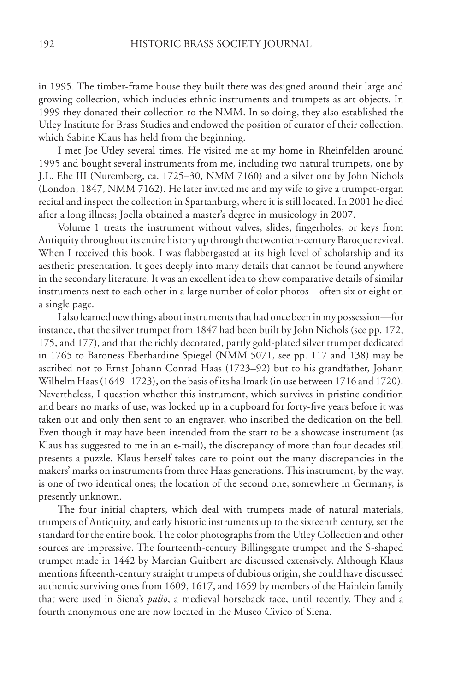in 1995. The timber-frame house they built there was designed around their large and growing collection, which includes ethnic instruments and trumpets as art objects. In 1999 they donated their collection to the NMM. In so doing, they also established the Utley Institute for Brass Studies and endowed the position of curator of their collection, which Sabine Klaus has held from the beginning.

I met Joe Utley several times. He visited me at my home in Rheinfelden around 1995 and bought several instruments from me, including two natural trumpets, one by J.L. Ehe III (Nuremberg, ca. 1725–30, NMM 7160) and a silver one by John Nichols (London, 1847, NMM 7162). He later invited me and my wife to give a trumpet-organ recital and inspect the collection in Spartanburg, where it is still located. In 2001 he died after a long illness; Joella obtained a master's degree in musicology in 2007.

Volume 1 treats the instrument without valves, slides, fingerholes, or keys from Antiquity throughout its entire history up through the twentieth-century Baroque revival. When I received this book, I was flabbergasted at its high level of scholarship and its aesthetic presentation. It goes deeply into many details that cannot be found anywhere in the secondary literature. It was an excellent idea to show comparative details of similar instruments next to each other in a large number of color photos—often six or eight on a single page.

I also learned new things about instruments that had once been in my possession—for instance, that the silver trumpet from 1847 had been built by John Nichols (see pp. 172, 175, and 177), and that the richly decorated, partly gold-plated silver trumpet dedicated in 1765 to Baroness Eberhardine Spiegel (NMM 5071, see pp. 117 and 138) may be ascribed not to Ernst Johann Conrad Haas (1723–92) but to his grandfather, Johann Wilhelm Haas (1649–1723), on the basis of its hallmark (in use between 1716 and 1720). Nevertheless, I question whether this instrument, which survives in pristine condition and bears no marks of use, was locked up in a cupboard for forty-five years before it was taken out and only then sent to an engraver, who inscribed the dedication on the bell. Even though it may have been intended from the start to be a showcase instrument (as Klaus has suggested to me in an e-mail), the discrepancy of more than four decades still presents a puzzle. Klaus herself takes care to point out the many discrepancies in the makers' marks on instruments from three Haas generations. This instrument, by the way, is one of two identical ones; the location of the second one, somewhere in Germany, is presently unknown.

The four initial chapters, which deal with trumpets made of natural materials, trumpets of Antiquity, and early historic instruments up to the sixteenth century, set the standard for the entire book. The color photographs from the Utley Collection and other sources are impressive. The fourteenth-century Billingsgate trumpet and the S-shaped trumpet made in 1442 by Marcian Guitbert are discussed extensively. Although Klaus mentions fifteenth-century straight trumpets of dubious origin, she could have discussed authentic surviving ones from 1609, 1617, and 1659 by members of the Hainlein family that were used in Siena's *palio*, a medieval horseback race, until recently. They and a fourth anonymous one are now located in the Museo Civico of Siena.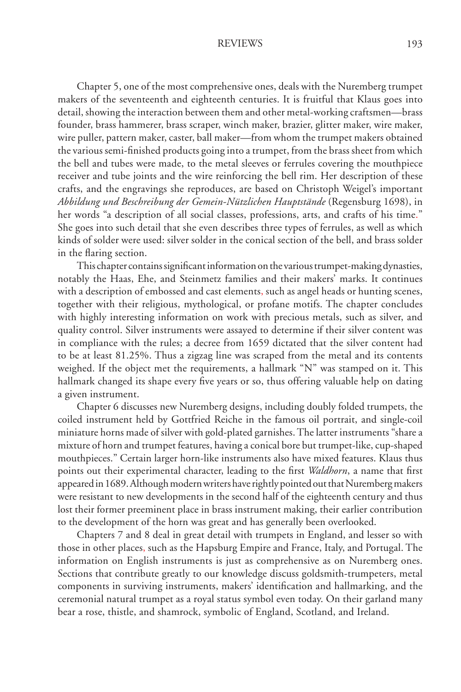Chapter 5, one of the most comprehensive ones, deals with the Nuremberg trumpet makers of the seventeenth and eighteenth centuries. It is fruitful that Klaus goes into detail, showing the interaction between them and other metal-working craftsmen—brass founder, brass hammerer, brass scraper, winch maker, brazier, glitter maker, wire maker, wire puller, pattern maker, caster, ball maker—from whom the trumpet makers obtained the various semi-finished products going into a trumpet, from the brass sheet from which the bell and tubes were made, to the metal sleeves or ferrules covering the mouthpiece receiver and tube joints and the wire reinforcing the bell rim. Her description of these crafts, and the engravings she reproduces, are based on Christoph Weigel's important *Abbildung und Beschreibung der Gemein-Nützlichen Hauptstände* (Regensburg 1698), in her words "a description of all social classes, professions, arts, and crafts of his time." She goes into such detail that she even describes three types of ferrules, as well as which kinds of solder were used: silver solder in the conical section of the bell, and brass solder in the flaring section.

This chapter contains significant information on the various trumpet-making dynasties, notably the Haas, Ehe, and Steinmetz families and their makers' marks. It continues with a description of embossed and cast elements, such as angel heads or hunting scenes, together with their religious, mythological, or profane motifs. The chapter concludes with highly interesting information on work with precious metals, such as silver, and quality control. Silver instruments were assayed to determine if their silver content was in compliance with the rules; a decree from 1659 dictated that the silver content had to be at least 81.25%. Thus a zigzag line was scraped from the metal and its contents weighed. If the object met the requirements, a hallmark "N" was stamped on it. This hallmark changed its shape every five years or so, thus offering valuable help on dating a given instrument.

Chapter 6 discusses new Nuremberg designs, including doubly folded trumpets, the coiled instrument held by Gottfried Reiche in the famous oil portrait, and single-coil miniature horns made of silver with gold-plated garnishes. The latter instruments "share a mixture of horn and trumpet features, having a conical bore but trumpet-like, cup-shaped mouthpieces." Certain larger horn-like instruments also have mixed features. Klaus thus points out their experimental character, leading to the first *Waldhorn*, a name that first appeared in 1689. Although modern writers have rightly pointed out that Nuremberg makers were resistant to new developments in the second half of the eighteenth century and thus lost their former preeminent place in brass instrument making, their earlier contribution to the development of the horn was great and has generally been overlooked.

Chapters 7 and 8 deal in great detail with trumpets in England, and lesser so with those in other places, such as the Hapsburg Empire and France, Italy, and Portugal. The information on English instruments is just as comprehensive as on Nuremberg ones. Sections that contribute greatly to our knowledge discuss goldsmith-trumpeters, metal components in surviving instruments, makers' identification and hallmarking, and the ceremonial natural trumpet as a royal status symbol even today. On their garland many bear a rose, thistle, and shamrock, symbolic of England, Scotland, and Ireland.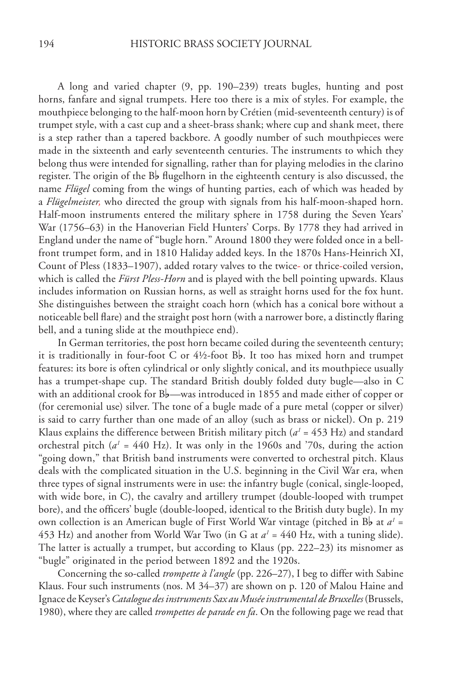A long and varied chapter (9, pp. 190–239) treats bugles, hunting and post horns, fanfare and signal trumpets. Here too there is a mix of styles. For example, the mouthpiece belonging to the half-moon horn by Crétien (mid-seventeenth century) is of trumpet style, with a cast cup and a sheet-brass shank; where cup and shank meet, there is a step rather than a tapered backbore. A goodly number of such mouthpieces were made in the sixteenth and early seventeenth centuries. The instruments to which they belong thus were intended for signalling, rather than for playing melodies in the clarino register. The origin of the  $B_b$  flugelhorn in the eighteenth century is also discussed, the name *Flügel* coming from the wings of hunting parties, each of which was headed by a *Flügelmeister,* who directed the group with signals from his half-moon-shaped horn. Half-moon instruments entered the military sphere in 1758 during the Seven Years' War (1756–63) in the Hanoverian Field Hunters' Corps. By 1778 they had arrived in England under the name of "bugle horn." Around 1800 they were folded once in a bellfront trumpet form, and in 1810 Haliday added keys. In the 1870s Hans-Heinrich XI, Count of Pless (1833–1907), added rotary valves to the twice- or thrice-coiled version, which is called the *Fürst Pless-Horn* and is played with the bell pointing upwards. Klaus includes information on Russian horns, as well as straight horns used for the fox hunt. She distinguishes between the straight coach horn (which has a conical bore without a noticeable bell flare) and the straight post horn (with a narrower bore, a distinctly flaring bell, and a tuning slide at the mouthpiece end).

In German territories, the post horn became coiled during the seventeenth century; it is traditionally in four-foot C or  $4\frac{1}{2}$ -foot B<sub>p</sub>. It too has mixed horn and trumpet features: its bore is often cylindrical or only slightly conical, and its mouthpiece usually has a trumpet-shape cup. The standard British doubly folded duty bugle—also in C with an additional crook for  $B_b$ —was introduced in 1855 and made either of copper or (for ceremonial use) silver. The tone of a bugle made of a pure metal (copper or silver) is said to carry further than one made of an alloy (such as brass or nickel). On p. 219 Klaus explains the difference between British military pitch  $(a<sup>1</sup> = 453 Hz)$  and standard orchestral pitch  $(a<sup>1</sup> = 440$  Hz). It was only in the 1960s and '70s, during the action "going down," that British band instruments were converted to orchestral pitch. Klaus deals with the complicated situation in the U.S. beginning in the Civil War era, when three types of signal instruments were in use: the infantry bugle (conical, single-looped, with wide bore, in C), the cavalry and artillery trumpet (double-looped with trumpet bore), and the officers' bugle (double-looped, identical to the British duty bugle). In my own collection is an American bugle of First World War vintage (pitched in B<sub>b</sub> at  $a^t$  = 453 Hz) and another from World War Two (in G at  $a^1 = 440$  Hz, with a tuning slide). The latter is actually a trumpet, but according to Klaus (pp. 222–23) its misnomer as "bugle" originated in the period between 1892 and the 1920s.

Concerning the so-called *trompette à l'angle* (pp. 226–27), I beg to differ with Sabine Klaus. Four such instruments (nos. M 34–37) are shown on p. 120 of Malou Haine and Ignace de Keyser's *Catalogue des instruments Sax au Musée instrumental de Bruxelles* (Brussels, 1980), where they are called *trompettes de parade en fa*. On the following page we read that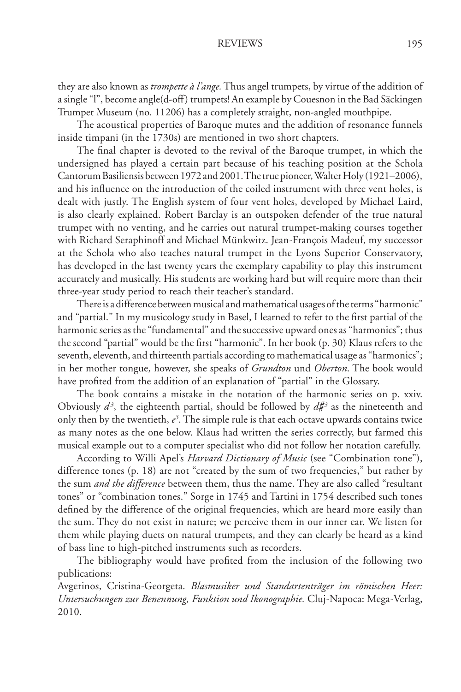they are also known as *trompette à l'ange.* Thus angel trumpets, by virtue of the addition of a single "l", become angle(d-off) trumpets! An example by Couesnon in the Bad Säckingen Trumpet Museum (no. 11206) has a completely straight, non-angled mouthpipe.

The acoustical properties of Baroque mutes and the addition of resonance funnels inside timpani (in the 1730s) are mentioned in two short chapters.

The final chapter is devoted to the revival of the Baroque trumpet, in which the undersigned has played a certain part because of his teaching position at the Schola Cantorum Basiliensis between 1972 and 2001. The true pioneer, Walter Holy (1921–2006), and his influence on the introduction of the coiled instrument with three vent holes, is dealt with justly. The English system of four vent holes, developed by Michael Laird, is also clearly explained. Robert Barclay is an outspoken defender of the true natural trumpet with no venting, and he carries out natural trumpet-making courses together with Richard Seraphinoff and Michael Münkwitz. Jean-François Madeuf, my successor at the Schola who also teaches natural trumpet in the Lyons Superior Conservatory, has developed in the last twenty years the exemplary capability to play this instrument accurately and musically. His students are working hard but will require more than their three-year study period to reach their teacher's standard.

There is a difference between musical and mathematical usages of the terms "harmonic" and "partial." In my musicology study in Basel, I learned to refer to the first partial of the harmonic series as the "fundamental" and the successive upward ones as "harmonics"; thus the second "partial" would be the first "harmonic". In her book (p. 30) Klaus refers to the seventh, eleventh, and thirteenth partials according to mathematical usage as "harmonics"; in her mother tongue, however, she speaks of *Grundton* und *Oberton*. The book would have profited from the addition of an explanation of "partial" in the Glossary.

The book contains a mistake in the notation of the harmonic series on p. xxiv. Obviously  $d^3$ , the eighteenth partial, should be followed by  $d\sharp^3$  as the nineteenth and only then by the twentieth, *e3* . The simple rule is that each octave upwards contains twice as many notes as the one below. Klaus had written the series correctly, but farmed this musical example out to a computer specialist who did not follow her notation carefully.

According to Willi Apel's *Harvard Dictionary of Music* (see "Combination tone"), difference tones (p. 18) are not "created by the sum of two frequencies," but rather by the sum *and the difference* between them, thus the name. They are also called "resultant tones" or "combination tones." Sorge in 1745 and Tartini in 1754 described such tones defined by the difference of the original frequencies, which are heard more easily than the sum. They do not exist in nature; we perceive them in our inner ear. We listen for them while playing duets on natural trumpets, and they can clearly be heard as a kind of bass line to high-pitched instruments such as recorders.

The bibliography would have profited from the inclusion of the following two publications:

Avgerinos, Cristina-Georgeta. *Blasmusiker und Standartenträger im römischen Heer: Untersuchungen zur Benennung, Funktion und Ikonographie.* Cluj-Napoca: Mega-Verlag, 2010.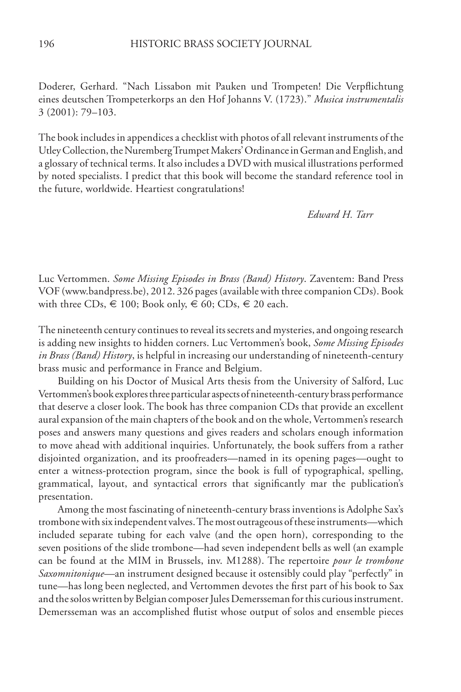Doderer, Gerhard. "Nach Lissabon mit Pauken und Trompeten! Die Verpflichtung eines deutschen Trompeterkorps an den Hof Johanns V. (1723)." *Musica instrumentalis* 3 (2001): 79–103.

The book includes in appendices a checklist with photos of all relevant instruments of the Utley Collection, the Nuremberg Trumpet Makers' Ordinance in German and English, and a glossary of technical terms. It also includes a DVD with musical illustrations performed by noted specialists. I predict that this book will become the standard reference tool in the future, worldwide. Heartiest congratulations!

 *Edward H. Tarr*

Luc Vertommen. *Some Missing Episodes in Brass (Band) History*. Zaventem: Band Press VOF (www.bandpress.be), 2012. 326 pages (available with three companion CDs). Book with three CDs,  $\in$  100; Book only,  $\in$  60; CDs,  $\in$  20 each.

The nineteenth century continues to reveal its secrets and mysteries, and ongoing research is adding new insights to hidden corners. Luc Vertommen's book, *Some Missing Episodes in Brass (Band) History*, is helpful in increasing our understanding of nineteenth-century brass music and performance in France and Belgium.

Building on his Doctor of Musical Arts thesis from the University of Salford, Luc Vertommen's book explores three particular aspects of nineteenth-century brass performance that deserve a closer look. The book has three companion CDs that provide an excellent aural expansion of the main chapters of the book and on the whole, Vertommen's research poses and answers many questions and gives readers and scholars enough information to move ahead with additional inquiries. Unfortunately, the book suffers from a rather disjointed organization, and its proofreaders—named in its opening pages—ought to enter a witness-protection program, since the book is full of typographical, spelling, grammatical, layout, and syntactical errors that significantly mar the publication's presentation.

Among the most fascinating of nineteenth-century brass inventions is Adolphe Sax's trombone with six independent valves. The most outrageous of these instruments—which included separate tubing for each valve (and the open horn), corresponding to the seven positions of the slide trombone—had seven independent bells as well (an example can be found at the MIM in Brussels, inv. M1288). The repertoire *pour le trombone Saxomnitonique—*an instrument designed because it ostensibly could play "perfectly" in tune—has long been neglected, and Vertommen devotes the first part of his book to Sax and the solos written by Belgian composer Jules Demersseman for this curious instrument. Demersseman was an accomplished flutist whose output of solos and ensemble pieces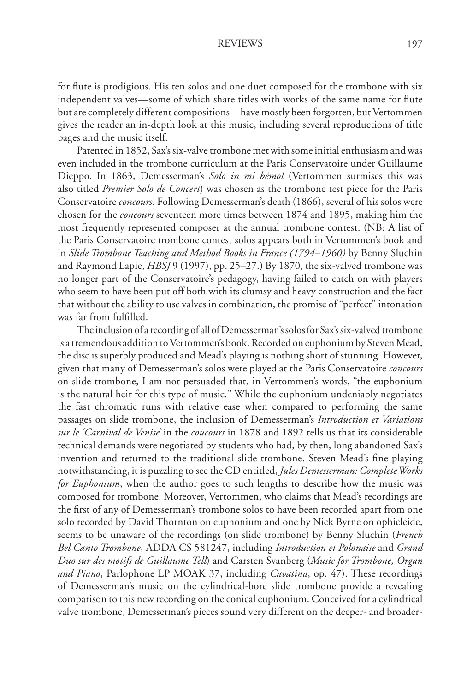for flute is prodigious. His ten solos and one duet composed for the trombone with six independent valves—some of which share titles with works of the same name for flute but are completely different compositions—have mostly been forgotten, but Vertommen gives the reader an in-depth look at this music, including several reproductions of title pages and the music itself.

Patented in 1852, Sax's six-valve trombone met with some initial enthusiasm and was even included in the trombone curriculum at the Paris Conservatoire under Guillaume Dieppo. In 1863, Demesserman's *Solo in mi bémol* (Vertommen surmises this was also titled *Premier Solo de Concert*) was chosen as the trombone test piece for the Paris Conservatoire *concours*. Following Demesserman's death (1866), several of his solos were chosen for the *concours* seventeen more times between 1874 and 1895, making him the most frequently represented composer at the annual trombone contest. (NB: A list of the Paris Conservatoire trombone contest solos appears both in Vertommen's book and in *Slide Trombone Teaching and Method Books in France (1794–1960)* by Benny Sluchin and Raymond Lapie, *HBSJ* 9 (1997), pp. 25–27.) By 1870, the six-valved trombone was no longer part of the Conservatoire's pedagogy, having failed to catch on with players who seem to have been put off both with its clumsy and heavy construction and the fact that without the ability to use valves in combination, the promise of "perfect" intonation was far from fulfilled.

The inclusion of a recording of all of Demesserman's solos for Sax's six-valved trombone is a tremendous addition to Vertommen's book. Recorded on euphonium by Steven Mead, the disc is superbly produced and Mead's playing is nothing short of stunning. However, given that many of Demesserman's solos were played at the Paris Conservatoire *concours* on slide trombone, I am not persuaded that, in Vertommen's words, "the euphonium is the natural heir for this type of music." While the euphonium undeniably negotiates the fast chromatic runs with relative ease when compared to performing the same passages on slide trombone, the inclusion of Demesserman's *Introduction et Variations sur le 'Carnival de Venise'* in the *coucours* in 1878 and 1892 tells us that its considerable technical demands were negotiated by students who had, by then, long abandoned Sax's invention and returned to the traditional slide trombone. Steven Mead's fine playing notwithstanding, it is puzzling to see the CD entitled, *Jules Demesserman: Complete Works for Euphonium*, when the author goes to such lengths to describe how the music was composed for trombone. Moreover, Vertommen, who claims that Mead's recordings are the first of any of Demesserman's trombone solos to have been recorded apart from one solo recorded by David Thornton on euphonium and one by Nick Byrne on ophicleide, seems to be unaware of the recordings (on slide trombone) by Benny Sluchin (*French Bel Canto Trombone*, ADDA CS 581247, including *Introduction et Polonaise* and *Grand Duo sur des motifs de Guillaume Tell*) and Carsten Svanberg (*Music for Trombone, Organ and Piano*, Parlophone LP MOAK 37, including *Cavatina*, op. 47). These recordings of Demesserman's music on the cylindrical-bore slide trombone provide a revealing comparison to this new recording on the conical euphonium. Conceived for a cylindrical valve trombone, Demesserman's pieces sound very different on the deeper- and broader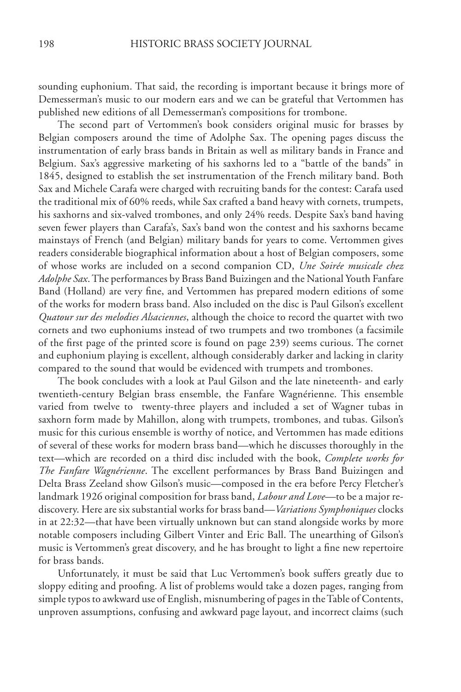sounding euphonium. That said, the recording is important because it brings more of Demesserman's music to our modern ears and we can be grateful that Vertommen has published new editions of all Demesserman's compositions for trombone.

The second part of Vertommen's book considers original music for brasses by Belgian composers around the time of Adolphe Sax. The opening pages discuss the instrumentation of early brass bands in Britain as well as military bands in France and Belgium. Sax's aggressive marketing of his saxhorns led to a "battle of the bands" in 1845, designed to establish the set instrumentation of the French military band. Both Sax and Michele Carafa were charged with recruiting bands for the contest: Carafa used the traditional mix of 60% reeds, while Sax crafted a band heavy with cornets, trumpets, his saxhorns and six-valved trombones, and only 24% reeds. Despite Sax's band having seven fewer players than Carafa's, Sax's band won the contest and his saxhorns became mainstays of French (and Belgian) military bands for years to come. Vertommen gives readers considerable biographical information about a host of Belgian composers, some of whose works are included on a second companion CD, *Une Soirée musicale chez Adolphe Sax*. The performances by Brass Band Buizingen and the National Youth Fanfare Band (Holland) are very fine, and Vertommen has prepared modern editions of some of the works for modern brass band. Also included on the disc is Paul Gilson's excellent *Quatour sur des melodies Alsaciennes*, although the choice to record the quartet with two cornets and two euphoniums instead of two trumpets and two trombones (a facsimile of the first page of the printed score is found on page 239) seems curious. The cornet and euphonium playing is excellent, although considerably darker and lacking in clarity compared to the sound that would be evidenced with trumpets and trombones.

The book concludes with a look at Paul Gilson and the late nineteenth- and early twentieth-century Belgian brass ensemble, the Fanfare Wagnérienne. This ensemble varied from twelve to twenty-three players and included a set of Wagner tubas in saxhorn form made by Mahillon, along with trumpets, trombones, and tubas. Gilson's music for this curious ensemble is worthy of notice, and Vertommen has made editions of several of these works for modern brass band—which he discusses thoroughly in the text—which are recorded on a third disc included with the book, *Complete works for The Fanfare Wagnérienne*. The excellent performances by Brass Band Buizingen and Delta Brass Zeeland show Gilson's music—composed in the era before Percy Fletcher's landmark 1926 original composition for brass band, *Labour and Love—*to be a major rediscovery. Here are six substantial works for brass band—*Variations Symphoniques* clocks in at 22:32—that have been virtually unknown but can stand alongside works by more notable composers including Gilbert Vinter and Eric Ball. The unearthing of Gilson's music is Vertommen's great discovery, and he has brought to light a fine new repertoire for brass bands.

Unfortunately, it must be said that Luc Vertommen's book suffers greatly due to sloppy editing and proofing. A list of problems would take a dozen pages, ranging from simple typos to awkward use of English, misnumbering of pages in the Table of Contents, unproven assumptions, confusing and awkward page layout, and incorrect claims (such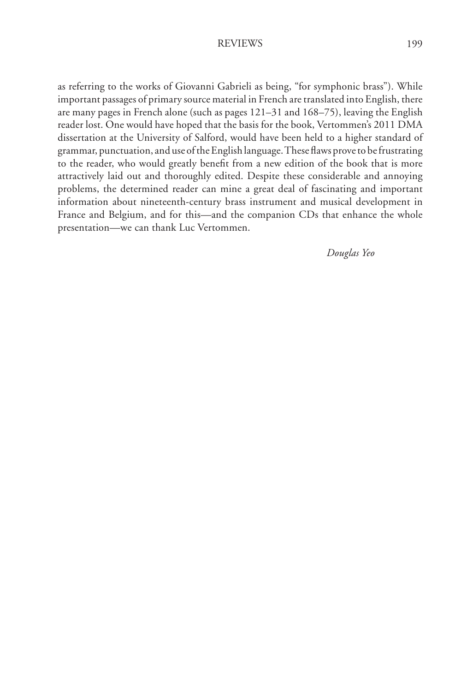as referring to the works of Giovanni Gabrieli as being, "for symphonic brass"). While important passages of primary source material in French are translated into English, there are many pages in French alone (such as pages 121–31 and 168–75), leaving the English reader lost. One would have hoped that the basis for the book, Vertommen's 2011 DMA dissertation at the University of Salford, would have been held to a higher standard of grammar, punctuation, and use of the English language. These flaws prove to be frustrating to the reader, who would greatly benefit from a new edition of the book that is more attractively laid out and thoroughly edited. Despite these considerable and annoying problems, the determined reader can mine a great deal of fascinating and important information about nineteenth-century brass instrument and musical development in France and Belgium, and for this—and the companion CDs that enhance the whole presentation—we can thank Luc Vertommen.

 *Douglas Yeo*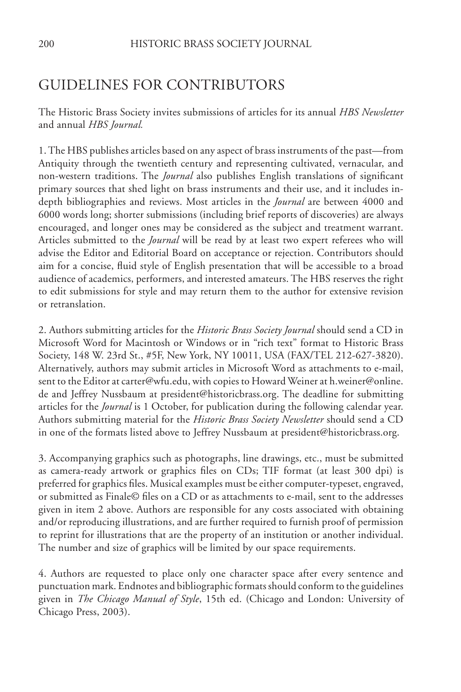# GUIDELINES FOR CONTRIBUTORS

The Historic Brass Society invites submissions of articles for its annual *HBS Newsletter* and annual *HBS Journal.*

1. The HBS publishes articles based on any aspect of brass instruments of the past—from Antiquity through the twentieth century and representing cultivated, vernacular, and non-western traditions. The *Journal* also publishes English translations of significant primary sources that shed light on brass instruments and their use, and it includes indepth bibliographies and reviews. Most articles in the *Journal* are between 4000 and 6000 words long; shorter submissions (including brief reports of discoveries) are always encouraged, and longer ones may be considered as the subject and treatment warrant. Articles submitted to the *Journal* will be read by at least two expert referees who will advise the Editor and Editorial Board on acceptance or rejection. Contributors should aim for a concise, fluid style of English presentation that will be accessible to a broad audience of academics, performers, and interested amateurs. The HBS reserves the right to edit submissions for style and may return them to the author for extensive revision or retranslation.

2. Authors submitting articles for the *Historic Brass Society Journal* should send a CD in Microsoft Word for Macintosh or Windows or in "rich text" format to Historic Brass Society, 148 W. 23rd St., #5F, New York, NY 10011, USA (FAX/TEL 212-627-3820). Alternatively, authors may submit articles in Microsoft Word as attachments to e-mail, sent to the Editor at carter@wfu.edu, with copies to Howard Weiner at h.weiner@online. de and Jeffrey Nussbaum at president@historicbrass.org. The deadline for submitting articles for the *Journal* is 1 October, for publication during the following calendar year. Authors submitting material for the *Historic Brass Society Newsletter* should send a CD in one of the formats listed above to Jeffrey Nussbaum at president@historicbrass.org.

3. Accompanying graphics such as photographs, line drawings, etc., must be submitted as camera-ready artwork or graphics files on CDs; TIF format (at least 300 dpi) is preferred for graphics files. Musical examples must be either computer-typeset, engraved, or submitted as Finale© files on a CD or as attachments to e-mail, sent to the addresses given in item 2 above. Authors are responsible for any costs associated with obtaining and/or reproducing illustrations, and are further required to furnish proof of permission to reprint for illustrations that are the property of an institution or another individual. The number and size of graphics will be limited by our space requirements.

4. Authors are requested to place only one character space after every sentence and punctuation mark. Endnotes and bibliographic formats should conform to the guidelines given in *The Chicago Manual of Style*, 15th ed. (Chicago and London: University of Chicago Press, 2003).